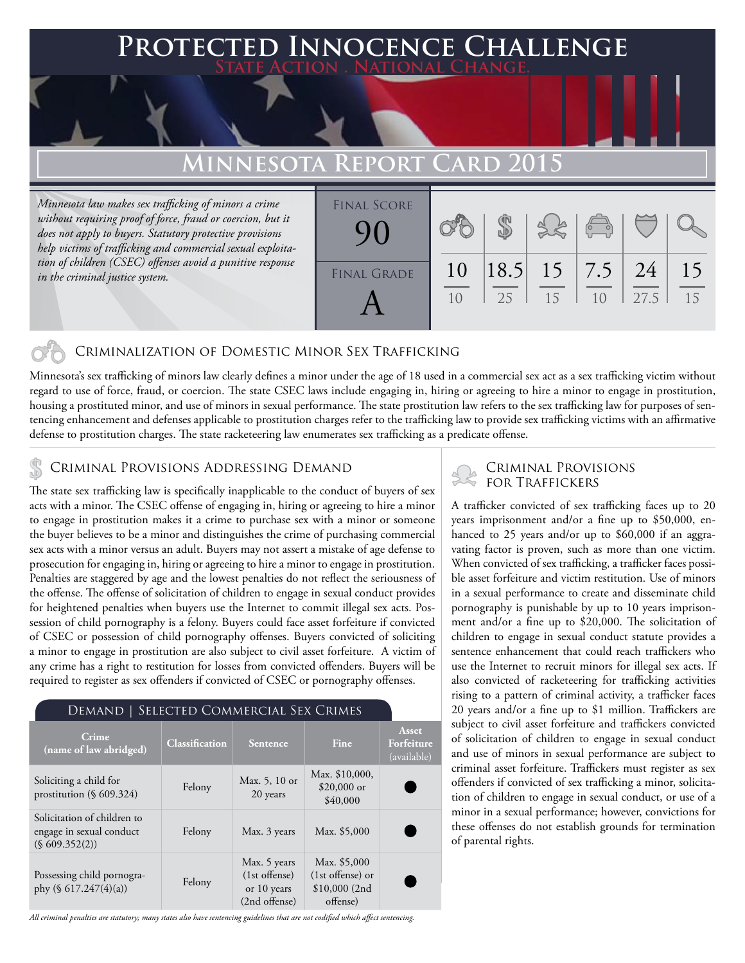# **FED INNOCENCE CHALLENGE State Action . National Change.**

## **MINNESOTA REPO**

*Minnesota law makes sex trafficking of minors a crime without requiring proof of force, fraud or coercion, but it does not apply to buyers. Statutory protective provisions help victims of trafficking and commercial sexual exploitation of children (CSEC) offenses avoid a punitive response in the criminal justice system.*

| <b>FINAL SCORE</b> |                      |             |    | $\begin{pmatrix} 0 & 0 \\ 0 & 0 \end{pmatrix}$ |            |          |
|--------------------|----------------------|-------------|----|------------------------------------------------|------------|----------|
| <b>FINAL GRADE</b> | 10<br>1 <sub>0</sub> | 18.5 <br>25 | 15 | $15 \mid 7.5 \mid$<br>1 <sub>0</sub>           | 24<br>27.5 | 15<br>15 |
|                    |                      |             |    |                                                |            |          |

### Criminalization of Domestic Minor Sex Trafficking

Minnesota's sex trafficking of minors law clearly defines a minor under the age of 18 used in a commercial sex act as a sex trafficking victim without regard to use of force, fraud, or coercion. The state CSEC laws include engaging in, hiring or agreeing to hire a minor to engage in prostitution, housing a prostituted minor, and use of minors in sexual performance. The state prostitution law refers to the sex trafficking law for purposes of sentencing enhancement and defenses applicable to prostitution charges refer to the trafficking law to provide sex trafficking victims with an affirmative defense to prostitution charges. The state racketeering law enumerates sex trafficking as a predicate offense.

# CRIMINAL PROVISIONS ADDRESSING DEMAND<br>FOR TRAFFICKERS

The state sex trafficking law is specifically inapplicable to the conduct of buyers of sex acts with a minor. The CSEC offense of engaging in, hiring or agreeing to hire a minor to engage in prostitution makes it a crime to purchase sex with a minor or someone the buyer believes to be a minor and distinguishes the crime of purchasing commercial sex acts with a minor versus an adult. Buyers may not assert a mistake of age defense to prosecution for engaging in, hiring or agreeing to hire a minor to engage in prostitution. Penalties are staggered by age and the lowest penalties do not reflect the seriousness of the offense. The offense of solicitation of children to engage in sexual conduct provides for heightened penalties when buyers use the Internet to commit illegal sex acts. Possession of child pornography is a felony. Buyers could face asset forfeiture if convicted of CSEC or possession of child pornography offenses. Buyers convicted of soliciting a minor to engage in prostitution are also subject to civil asset forfeiture. A victim of any crime has a right to restitution for losses from convicted offenders. Buyers will be required to register as sex offenders if convicted of CSEC or pornography offenses.

#### Demand | Selected Commercial Sex Crimes

| <b>Crime</b><br>(name of law abridged)                                   | <b>Classification</b> | Sentence                                                        | <b>Fine</b>                                                    | Asset<br>Forfeiture<br>(available) |
|--------------------------------------------------------------------------|-----------------------|-----------------------------------------------------------------|----------------------------------------------------------------|------------------------------------|
| Soliciting a child for<br>prostitution $(\S 609.324)$                    | Felony                | Max. 5, 10 or<br>20 years                                       | Max. \$10,000,<br>$$20,000$ or<br>\$40,000                     |                                    |
| Solicitation of children to<br>engage in sexual conduct<br>(S609.352(2)) | Felony                | Max. 3 years                                                    | Max. \$5,000                                                   |                                    |
| Possessing child pornogra-<br>phy $(\S 617.247(4)(a))$                   | Felony                | Max. 5 years<br>$(1st$ offense)<br>or 10 years<br>(2nd offense) | Max. \$5,000<br>(1st offense) or<br>$$10,000$ (2nd<br>offense) |                                    |

# Criminal Provisions

A trafficker convicted of sex trafficking faces up to 20 years imprisonment and/or a fine up to \$50,000, enhanced to 25 years and/or up to \$60,000 if an aggravating factor is proven, such as more than one victim. When convicted of sex trafficking, a trafficker faces possible asset forfeiture and victim restitution. Use of minors in a sexual performance to create and disseminate child pornography is punishable by up to 10 years imprisonment and/or a fine up to \$20,000. The solicitation of children to engage in sexual conduct statute provides a sentence enhancement that could reach traffickers who use the Internet to recruit minors for illegal sex acts. If also convicted of racketeering for trafficking activities rising to a pattern of criminal activity, a trafficker faces 20 years and/or a fine up to \$1 million. Traffickers are subject to civil asset forfeiture and traffickers convicted of solicitation of children to engage in sexual conduct and use of minors in sexual performance are subject to criminal asset forfeiture. Traffickers must register as sex offenders if convicted of sex trafficking a minor, solicitation of children to engage in sexual conduct, or use of a minor in a sexual performance; however, convictions for these offenses do not establish grounds for termination of parental rights.

*All criminal penalties are statutory; many states also have sentencing guidelines that are not codified which affect sentencing.*